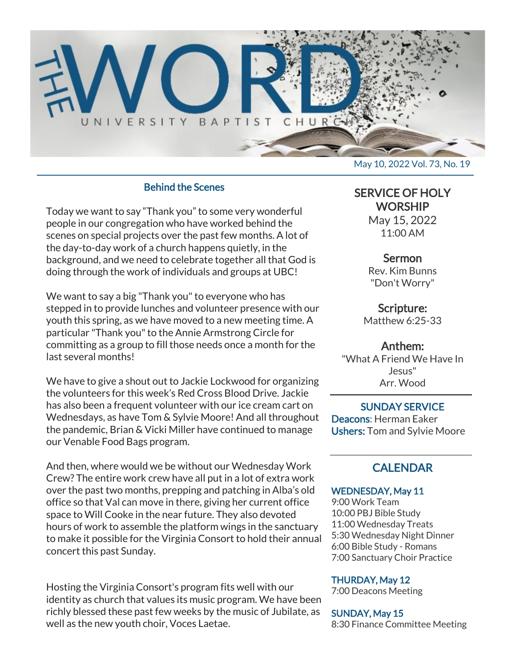

## Behind the Scenes

Today we want to say "Thank you" to some very wonderful people in our congregation who have worked behind the scenes on special projects over the past few months. A lot of the day-to-day work of a church happens quietly, in the background, and we need to celebrate together all that God is doing through the work of individuals and groups at UBC!

We want to say a big "Thank you" to everyone who has stepped in to provide lunches and volunteer presence with our youth this spring, as we have moved to a new meeting time. A particular "Thank you" to the Annie Armstrong Circle for committing as a group to fill those needs once a month for the last several months!

We have to give a shout out to Jackie Lockwood for organizing the volunteers for this week's Red Cross Blood Drive. Jackie has also been a frequent volunteer with our ice cream cart on Wednesdays, as have Tom & Sylvie Moore! And all throughout the pandemic, Brian & Vicki Miller have continued to manage our Venable Food Bags program.

And then, where would we be without our Wednesday Work Crew? The entire work crew have all put in a lot of extra work over the past two months, prepping and patching in Alba's old office so that Val can move in there, giving her current office space to Will Cooke in the near future. They also devoted hours of work to assemble the platform wings in the sanctuary to make it possible for the Virginia Consort to hold their annual concert this past Sunday.

Hosting the Virginia Consort's program fits well with our identity as church that values its music program. We have been richly blessed these past few weeks by the music of Jubilate, as well as the new youth choir, Voces Laetae.

SERVICE OF HOLY **WORSHIP** 

May 15, 2022 11:00 AM

#### Sermon

Rev. Kim Bunns "Don't Worry"

Scripture: Matthew 6:25-33

#### Anthem:

"What A Friend We Have In Jesus" Arr. Wood

SUNDAY SERVICE Deacons: Herman Eaker Ushers: Tom and Sylvie Moore

## **CALENDAR**

#### WEDNESDAY, May 11

9:00 Work Team 10:00 PBJ Bible Study 11:00 Wednesday Treats 5:30 Wednesday Night Dinner 6:00 Bible Study - Romans 7:00 Sanctuary Choir Practice

#### THURDAY, May 12

7:00 Deacons Meeting

#### SUNDAY, May 15

8:30 Finance Committee Meeting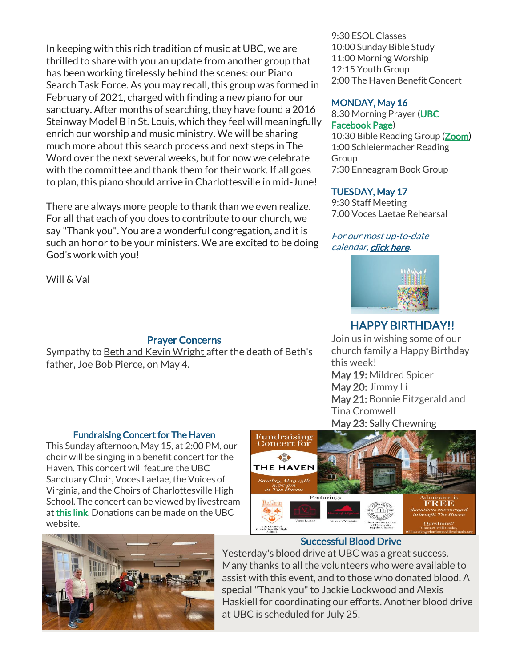In keeping with this rich tradition of music at UBC, we are thrilled to share with you an update from another group that has been working tirelessly behind the scenes: our Piano Search Task Force. As you may recall, this group was formed in February of 2021, charged with finding a new piano for our sanctuary. After months of searching, they have found a 2016 Steinway Model B in St. Louis, which they feel will meaningfully enrich our worship and music ministry. We will be sharing much more about this search process and next steps in The Word over the next several weeks, but for now we celebrate with the committee and thank them for their work. If all goes to plan, this piano should arrive in Charlottesville in mid-June!

There are always more people to thank than we even realize. For all that each of you does to contribute to our church, we say "Thank you". You are a wonderful congregation, and it is such an honor to be your ministers. We are excited to be doing God's work with you!

Will & Val

## Prayer Concerns

Sympathy to Beth and Kevin Wright after the death of Beth's father, Joe Bob Pierce, on May 4.

#### Fundraising Concert for The Haven

This Sunday afternoon, May 15, at 2:00 PM, our choir will be singing in a benefit concert for the Haven. This concert will feature the UBC Sanctuary Choir, Voces Laetae, the Voices of Virginia, and the Choirs of Charlottesville High School. The concert can be viewed by livestream at [this link.](https://www.youtube.com/channel/UC3YlH7p3g8LvgrjVWz2gaMQ) Donations can be made on the UBC website.



#### Successful Blood Drive

Yesterday's blood drive at UBC was a great success. Many thanks to all the volunteers who were available to assist with this event, and to those who donated blood. A special "Thank you" to Jackie Lockwood and Alexis Haskiell for coordinating our efforts. Another blood drive at UBC is scheduled for July 25.



## MONDAY, May 16

8:30 Morning Prayer [\(UBC](https://www.facebook.com/UniversityBaptistChurchCharlottesville) [Facebook Page\)](https://www.facebook.com/UniversityBaptistChurchCharlottesville) 10:30 Bible Reading Group [\(Zoom\)](https://us02web.zoom.us/j/85381408096?pwd=MzdkVG9JZ2x0M2JFK01KNlNjSWtqUT09) 1:00 Schleiermacher Reading Group 7:30 Enneagram Book Group

## TUESDAY, May 17

9:30 Staff Meeting 7:00 Voces Laetae Rehearsal

## For our most up-to-date calendar, [click here.](https://universitybaptist.org/calendar/)



# HAPPY BIRTHDAY!!

Join us in wishing some of our church family a Happy Birthday this week! May 19: Mildred Spicer May 20: Jimmy Li May 21: Bonnie Fitzgerald and Tina Cromwell May 23: Sally Chewning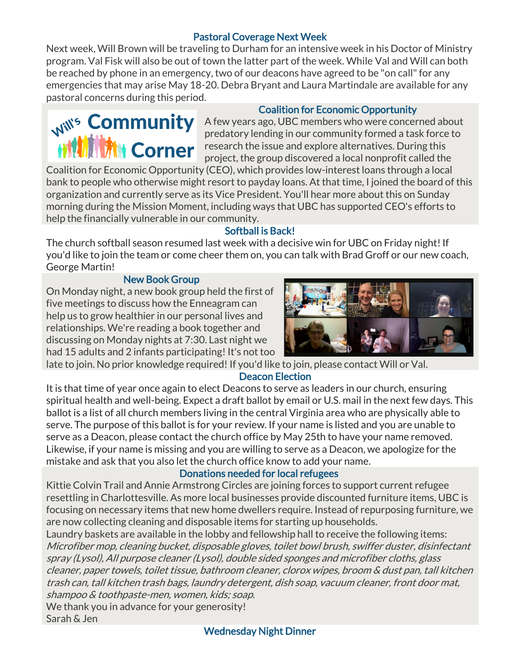## Pastoral Coverage Next Week

Next week, Will Brown will be traveling to Durham for an intensive week in his Doctor of Ministry program. Val Fisk will also be out of town the latter part of the week. While Val and Will can both be reached by phone in an emergency, two of our deacons have agreed to be "on call" for any emergencies that may arise May 18-20. Debra Bryant and Laura Martindale are available for any pastoral concerns during this period.

## Coalition for Economic Opportunity

 $M^{N^s}$  Community A few years ago, UBC members who were concerned about predatory lending in our community formed a task force to **THE COMPLE** research the issue and explore alternatives. During this project, the group discovered a local nonprofit called the

Coalition for Economic Opportunity (CEO), which provides low-interest loans through a local bank to people who otherwise might resort to payday loans. At that time, I joined the board of this organization and currently serve as its Vice President. You'll hear more about this on Sunday morning during the Mission Moment, including ways that UBC has supported CEO's efforts to help the financially vulnerable in our community.

## Softball is Back!

The church softball season resumed last week with a decisive win for UBC on Friday night! If you'd like to join the team or come cheer them on, you can talk with Brad Groff or our new coach, George Martin!

## New Book Group

On Monday night, a new book group held the first of five meetings to discuss how the Enneagram can help us to grow healthier in our personal lives and relationships. We're reading a book together and discussing on Monday nights at 7:30. Last night we had 15 adults and 2 infants participating! It's not too



late to join. No prior knowledge required! If you'd like to join, please contact Will or Val.

## Deacon Election

It is that time of year once again to elect Deacons to serve as leaders in our church, ensuring spiritual health and well-being. Expect a draft ballot by email or U.S. mail in the next few days. This ballot is a list of all church members living in the central Virginia area who are physically able to serve. The purpose of this ballot is for your review. If your name is listed and you are unable to serve as a Deacon, please contact the church office by May 25th to have your name removed. Likewise, if your name is missing and you are willing to serve as a Deacon, we apologize for the mistake and ask that you also let the church office know to add your name.

## Donations needed for local refugees

Kittie Colvin Trail and Annie Armstrong Circles are joining forces to support current refugee resettling in Charlottesville. As more local businesses provide discounted furniture items, UBC is focusing on necessary items that new home dwellers require. Instead of repurposing furniture, we are now collecting cleaning and disposable items for starting up households.

Laundry baskets are available in the lobby and fellowship hall to receive the following items: Microfiber mop, cleaning bucket, disposable gloves, toilet bowl brush, swiffer duster, disinfectant spray (Lysol), All purpose cleaner (Lysol), double sided sponges and microfiber cloths, glass cleaner, paper towels, toilet tissue, bathroom cleaner, clorox wipes, broom & dust pan, tall kitchen trash can, tall kitchen trash bags, laundry detergent, dish soap, vacuum cleaner, front door mat, shampoo & toothpaste-men, women, kids; soap.

We thank you in advance for your generosity! Sarah & Jen

#### Wednesday Night Dinner